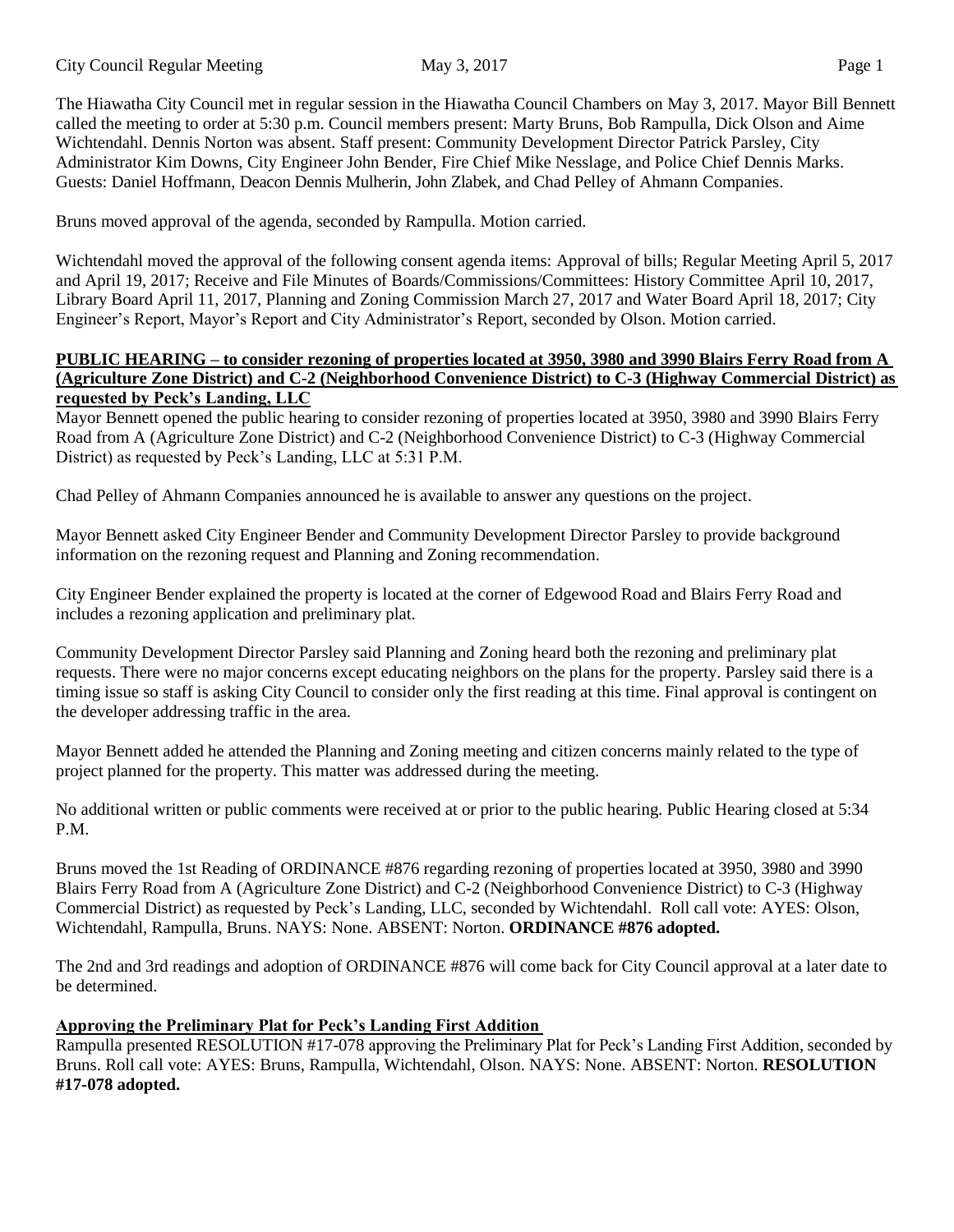The Hiawatha City Council met in regular session in the Hiawatha Council Chambers on May 3, 2017. Mayor Bill Bennett called the meeting to order at 5:30 p.m. Council members present: Marty Bruns, Bob Rampulla, Dick Olson and Aime Wichtendahl. Dennis Norton was absent. Staff present: Community Development Director Patrick Parsley, City Administrator Kim Downs, City Engineer John Bender, Fire Chief Mike Nesslage, and Police Chief Dennis Marks. Guests: Daniel Hoffmann, Deacon Dennis Mulherin, John Zlabek, and Chad Pelley of Ahmann Companies.

Bruns moved approval of the agenda, seconded by Rampulla. Motion carried.

Wichtendahl moved the approval of the following consent agenda items: Approval of bills; Regular Meeting April 5, 2017 and April 19, 2017; Receive and File Minutes of Boards/Commissions/Committees: History Committee April 10, 2017, Library Board April 11, 2017, Planning and Zoning Commission March 27, 2017 and Water Board April 18, 2017; City Engineer's Report, Mayor's Report and City Administrator's Report, seconded by Olson. Motion carried.

#### **PUBLIC HEARING – to consider rezoning of properties located at 3950, 3980 and 3990 Blairs Ferry Road from A (Agriculture Zone District) and C-2 (Neighborhood Convenience District) to C-3 (Highway Commercial District) as requested by Peck's Landing, LLC**

Mayor Bennett opened the public hearing to consider rezoning of properties located at 3950, 3980 and 3990 Blairs Ferry Road from A (Agriculture Zone District) and C-2 (Neighborhood Convenience District) to C-3 (Highway Commercial District) as requested by Peck's Landing, LLC at 5:31 P.M.

Chad Pelley of Ahmann Companies announced he is available to answer any questions on the project.

Mayor Bennett asked City Engineer Bender and Community Development Director Parsley to provide background information on the rezoning request and Planning and Zoning recommendation.

City Engineer Bender explained the property is located at the corner of Edgewood Road and Blairs Ferry Road and includes a rezoning application and preliminary plat.

Community Development Director Parsley said Planning and Zoning heard both the rezoning and preliminary plat requests. There were no major concerns except educating neighbors on the plans for the property. Parsley said there is a timing issue so staff is asking City Council to consider only the first reading at this time. Final approval is contingent on the developer addressing traffic in the area.

Mayor Bennett added he attended the Planning and Zoning meeting and citizen concerns mainly related to the type of project planned for the property. This matter was addressed during the meeting.

No additional written or public comments were received at or prior to the public hearing. Public Hearing closed at 5:34 P.M.

Bruns moved the 1st Reading of ORDINANCE #876 regarding rezoning of properties located at 3950, 3980 and 3990 Blairs Ferry Road from A (Agriculture Zone District) and C-2 (Neighborhood Convenience District) to C-3 (Highway Commercial District) as requested by Peck's Landing, LLC, seconded by Wichtendahl. Roll call vote: AYES: Olson, Wichtendahl, Rampulla, Bruns. NAYS: None. ABSENT: Norton. **ORDINANCE #876 adopted.**

The 2nd and 3rd readings and adoption of ORDINANCE #876 will come back for City Council approval at a later date to be determined.

# **Approving the Preliminary Plat for Peck's Landing First Addition**

Rampulla presented RESOLUTION #17-078 approving the Preliminary Plat for Peck's Landing First Addition, seconded by Bruns. Roll call vote: AYES: Bruns, Rampulla, Wichtendahl, Olson. NAYS: None. ABSENT: Norton. **RESOLUTION #17-078 adopted.**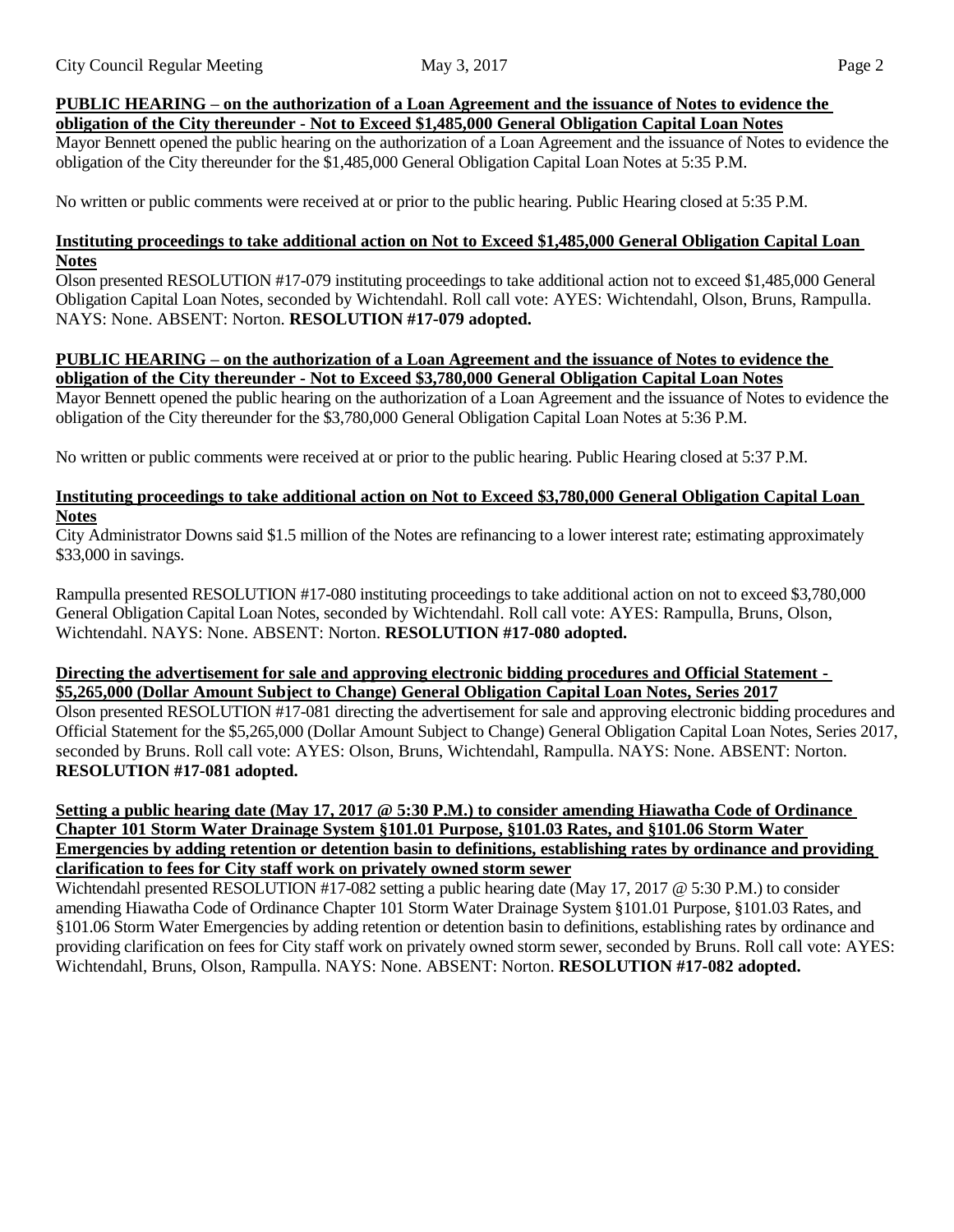#### **PUBLIC HEARING – on the authorization of a Loan Agreement and the issuance of Notes to evidence the obligation of the City thereunder - Not to Exceed \$1,485,000 General Obligation Capital Loan Notes**

Mayor Bennett opened the public hearing on the authorization of a Loan Agreement and the issuance of Notes to evidence the obligation of the City thereunder for the \$1,485,000 General Obligation Capital Loan Notes at 5:35 P.M.

No written or public comments were received at or prior to the public hearing. Public Hearing closed at 5:35 P.M.

#### **Instituting proceedings to take additional action on Not to Exceed \$1,485,000 General Obligation Capital Loan Notes**

Olson presented RESOLUTION #17-079 instituting proceedings to take additional action not to exceed \$1,485,000 General Obligation Capital Loan Notes, seconded by Wichtendahl. Roll call vote: AYES: Wichtendahl, Olson, Bruns, Rampulla. NAYS: None. ABSENT: Norton. **RESOLUTION #17-079 adopted.**

## **PUBLIC HEARING – on the authorization of a Loan Agreement and the issuance of Notes to evidence the obligation of the City thereunder - Not to Exceed \$3,780,000 General Obligation Capital Loan Notes**

Mayor Bennett opened the public hearing on the authorization of a Loan Agreement and the issuance of Notes to evidence the obligation of the City thereunder for the \$3,780,000 General Obligation Capital Loan Notes at 5:36 P.M.

No written or public comments were received at or prior to the public hearing. Public Hearing closed at 5:37 P.M.

# **Instituting proceedings to take additional action on Not to Exceed \$3,780,000 General Obligation Capital Loan Notes**

City Administrator Downs said \$1.5 million of the Notes are refinancing to a lower interest rate; estimating approximately \$33,000 in savings.

Rampulla presented RESOLUTION #17-080 instituting proceedings to take additional action on not to exceed \$3,780,000 General Obligation Capital Loan Notes, seconded by Wichtendahl. Roll call vote: AYES: Rampulla, Bruns, Olson, Wichtendahl. NAYS: None. ABSENT: Norton. **RESOLUTION #17-080 adopted.**

#### **Directing the advertisement for sale and approving electronic bidding procedures and Official Statement - \$5,265,000 (Dollar Amount Subject to Change) General Obligation Capital Loan Notes, Series 2017**

Olson presented RESOLUTION #17-081 directing the advertisement for sale and approving electronic bidding procedures and Official Statement for the \$5,265,000 (Dollar Amount Subject to Change) General Obligation Capital Loan Notes, Series 2017, seconded by Bruns. Roll call vote: AYES: Olson, Bruns, Wichtendahl, Rampulla. NAYS: None. ABSENT: Norton. **RESOLUTION #17-081 adopted.**

### Setting a public hearing date (May 17, 2017 @ 5:30 P.M.) to consider amending Hiawatha Code of Ordinance **Chapter 101 Storm Water Drainage System §101.01 Purpose, §101.03 Rates, and §101.06 Storm Water Emergencies by adding retention or detention basin to definitions, establishing rates by ordinance and providing clarification to fees for City staff work on privately owned storm sewer**

Wichtendahl presented RESOLUTION #17-082 setting a public hearing date (May 17, 2017 @ 5:30 P.M.) to consider amending Hiawatha Code of Ordinance Chapter 101 Storm Water Drainage System §101.01 Purpose, §101.03 Rates, and §101.06 Storm Water Emergencies by adding retention or detention basin to definitions, establishing rates by ordinance and providing clarification on fees for City staff work on privately owned storm sewer, seconded by Bruns. Roll call vote: AYES: Wichtendahl, Bruns, Olson, Rampulla. NAYS: None. ABSENT: Norton. **RESOLUTION #17-082 adopted.**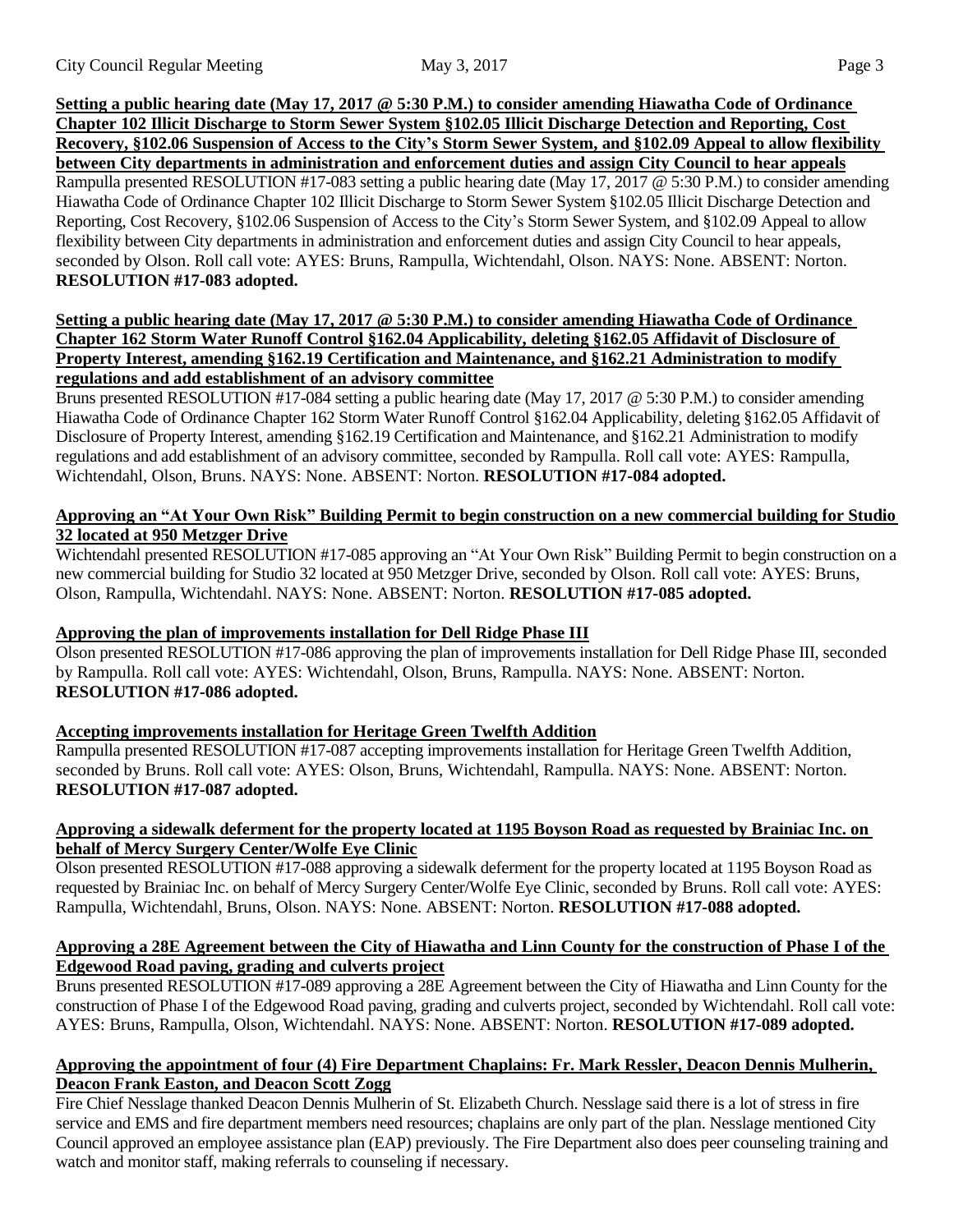## Setting a public hearing date (May 17, 2017 @ 5:30 P.M.) to consider amending Hiawatha Code of Ordinance **Chapter 102 Illicit Discharge to Storm Sewer System §102.05 Illicit Discharge Detection and Reporting, Cost** Recovery, §102.06 Suspension of Access to the City's Storm Sewer System, and §102.09 Appeal to allow flexibility **between City departments in administration and enforcement duties and assign City Council to hear appeals** Rampulla presented RESOLUTION #17-083 setting a public hearing date (May 17, 2017 @ 5:30 P.M.) to consider amending Hiawatha Code of Ordinance Chapter 102 Illicit Discharge to Storm Sewer System §102.05 Illicit Discharge Detection and Reporting, Cost Recovery, §102.06 Suspension of Access to the City's Storm Sewer System, and §102.09 Appeal to allow flexibility between City departments in administration and enforcement duties and assign City Council to hear appeals, seconded by Olson. Roll call vote: AYES: Bruns, Rampulla, Wichtendahl, Olson. NAYS: None. ABSENT: Norton. **RESOLUTION #17-083 adopted.**

# Setting a public hearing date (May 17, 2017 @ 5:30 P.M.) to consider amending Hiawatha Code of Ordinance **Chapter 162 Storm Water Runoff Control §162.04 Applicability, deleting §162.05 Affidavit of Disclosure of Property Interest, amending §162.19 Certification and Maintenance, and §162.21 Administration to modify regulations and add establishment of an advisory committee**

Bruns presented RESOLUTION #17-084 setting a public hearing date (May 17, 2017 @ 5:30 P.M.) to consider amending Hiawatha Code of Ordinance Chapter 162 Storm Water Runoff Control §162.04 Applicability, deleting §162.05 Affidavit of Disclosure of Property Interest, amending §162.19 Certification and Maintenance, and §162.21 Administration to modify regulations and add establishment of an advisory committee, seconded by Rampulla. Roll call vote: AYES: Rampulla, Wichtendahl, Olson, Bruns. NAYS: None. ABSENT: Norton. **RESOLUTION #17-084 adopted.**

# Approving an "At Your Own Risk" Building Permit to begin construction on a new commercial building for Studio **32 located at 950 Metzger Drive**

Wichtendahl presented RESOLUTION #17-085 approving an "At Your Own Risk" Building Permit to begin construction on a new commercial building for Studio 32 located at 950 Metzger Drive, seconded by Olson. Roll call vote: AYES: Bruns, Olson, Rampulla, Wichtendahl. NAYS: None. ABSENT: Norton. **RESOLUTION #17-085 adopted.**

# **Approving the plan of improvements installation for Dell Ridge Phase III**

Olson presented RESOLUTION #17-086 approving the plan of improvements installation for Dell Ridge Phase III, seconded by Rampulla. Roll call vote: AYES: Wichtendahl, Olson, Bruns, Rampulla. NAYS: None. ABSENT: Norton. **RESOLUTION #17-086 adopted.**

# **Accepting improvements installation for Heritage Green Twelfth Addition**

Rampulla presented RESOLUTION #17-087 accepting improvements installation for Heritage Green Twelfth Addition, seconded by Bruns. Roll call vote: AYES: Olson, Bruns, Wichtendahl, Rampulla. NAYS: None. ABSENT: Norton. **RESOLUTION #17-087 adopted.**

# Approving a sidewalk deferment for the property located at 1195 Boyson Road as requested by Brainiac Inc. on **behalf of Mercy Surgery Center/Wolfe Eye Clinic**

Olson presented RESOLUTION #17-088 approving a sidewalk deferment for the property located at 1195 Boyson Road as requested by Brainiac Inc. on behalf of Mercy Surgery Center/Wolfe Eye Clinic, seconded by Bruns. Roll call vote: AYES: Rampulla, Wichtendahl, Bruns, Olson. NAYS: None. ABSENT: Norton. **RESOLUTION #17-088 adopted.**

# Approving a 28E Agreement between the City of Hiawatha and Linn County for the construction of Phase I of the **Edgewood Road paving, grading and culverts project**

Bruns presented RESOLUTION #17-089 approving a 28E Agreement between the City of Hiawatha and Linn County for the construction of Phase I of the Edgewood Road paving, grading and culverts project, seconded by Wichtendahl. Roll call vote: AYES: Bruns, Rampulla, Olson, Wichtendahl. NAYS: None. ABSENT: Norton. **RESOLUTION #17-089 adopted.**

# **Approving the appointment of four (4) Fire Department Chaplains: Fr. Mark Ressler, Deacon Dennis Mulherin, Deacon Frank Easton, and Deacon Scott Zogg**

Fire Chief Nesslage thanked Deacon Dennis Mulherin of St. Elizabeth Church. Nesslage said there is a lot of stress in fire service and EMS and fire department members need resources; chaplains are only part of the plan. Nesslage mentioned City Council approved an employee assistance plan (EAP) previously. The Fire Department also does peer counseling training and watch and monitor staff, making referrals to counseling if necessary.